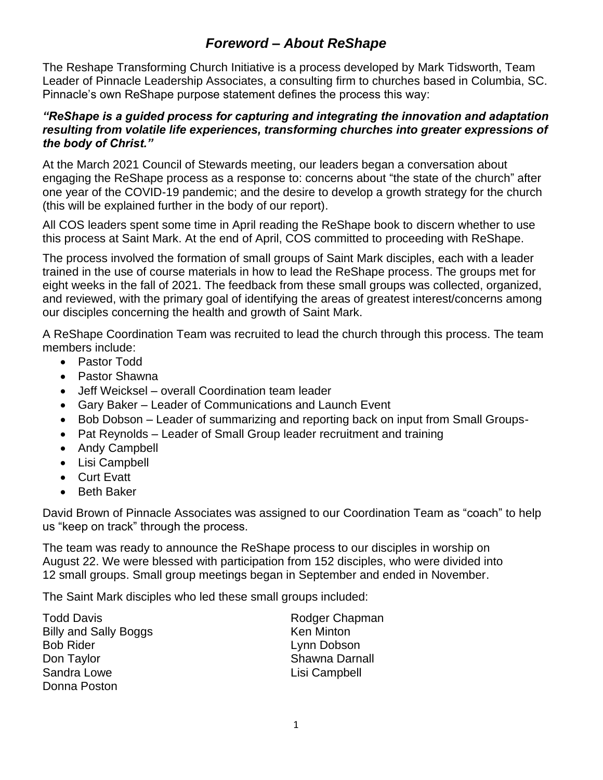## *Foreword – About ReShape*

The Reshape Transforming Church Initiative is a process developed by Mark Tidsworth, Team Leader of Pinnacle Leadership Associates, a consulting firm to churches based in Columbia, SC. Pinnacle's own ReShape purpose statement defines the process this way:

#### *"ReShape is a guided process for capturing and integrating the innovation and adaptation resulting from volatile life experiences, transforming churches into greater expressions of the body of Christ."*

At the March 2021 Council of Stewards meeting, our leaders began a conversation about engaging the ReShape process as a response to: concerns about "the state of the church" after one year of the COVID-19 pandemic; and the desire to develop a growth strategy for the church (this will be explained further in the body of our report).

All COS leaders spent some time in April reading the ReShape book to discern whether to use this process at Saint Mark. At the end of April, COS committed to proceeding with ReShape.

The process involved the formation of small groups of Saint Mark disciples, each with a leader trained in the use of course materials in how to lead the ReShape process. The groups met for eight weeks in the fall of 2021. The feedback from these small groups was collected, organized, and reviewed, with the primary goal of identifying the areas of greatest interest/concerns among our disciples concerning the health and growth of Saint Mark.

A ReShape Coordination Team was recruited to lead the church through this process. The team members include:

- Pastor Todd
- Pastor Shawna
- Jeff Weicksel overall Coordination team leader
- Gary Baker Leader of Communications and Launch Event
- Bob Dobson Leader of summarizing and reporting back on input from Small Groups-
- Pat Reynolds Leader of Small Group leader recruitment and training
- Andy Campbell
- Lisi Campbell
- Curt Evatt
- Beth Baker

David Brown of Pinnacle Associates was assigned to our Coordination Team as "coach" to help us "keep on track" through the process.

The team was ready to announce the ReShape process to our disciples in worship on August 22. We were blessed with participation from 152 disciples, who were divided into 12 small groups. Small group meetings began in September and ended in November.

The Saint Mark disciples who led these small groups included:

| Todd Davis            | Rodger Chapman    |
|-----------------------|-------------------|
| Billy and Sally Boggs | <b>Ken Minton</b> |
| <b>Bob Rider</b>      | Lynn Dobson       |
| Don Taylor            | Shawna Darnall    |
| Sandra Lowe           | Lisi Campbell     |
| Donna Poston          |                   |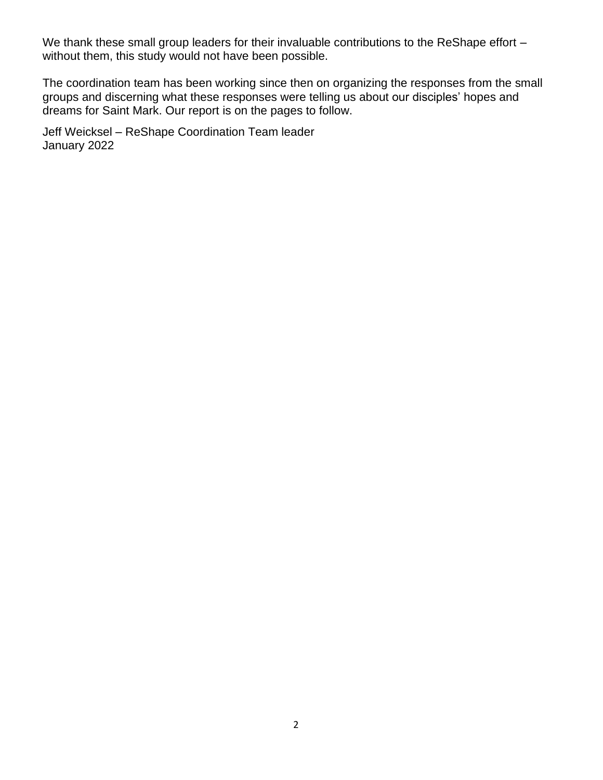We thank these small group leaders for their invaluable contributions to the ReShape effort without them, this study would not have been possible.

The coordination team has been working since then on organizing the responses from the small groups and discerning what these responses were telling us about our disciples' hopes and dreams for Saint Mark. Our report is on the pages to follow.

Jeff Weicksel – ReShape Coordination Team leader January 2022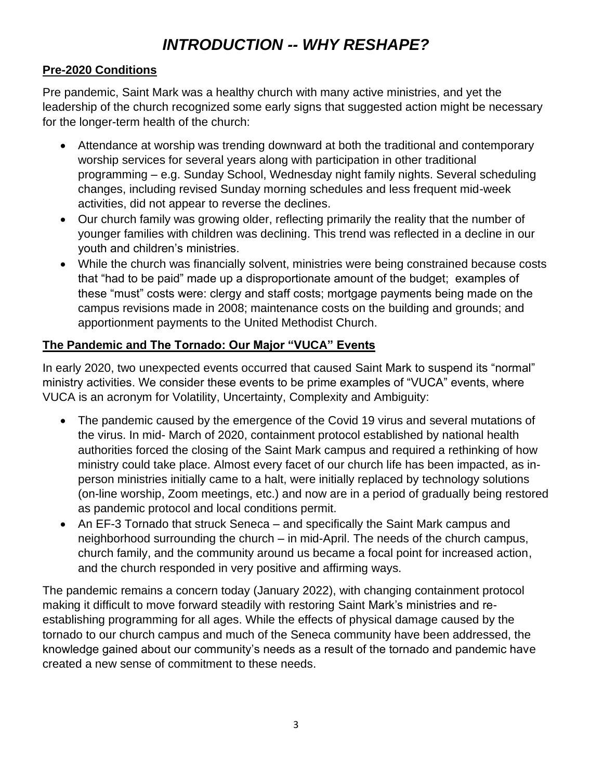# *INTRODUCTION -- WHY RESHAPE?*

#### **Pre-2020 Conditions**

Pre pandemic, Saint Mark was a healthy church with many active ministries, and yet the leadership of the church recognized some early signs that suggested action might be necessary for the longer-term health of the church:

- Attendance at worship was trending downward at both the traditional and contemporary worship services for several years along with participation in other traditional programming – e.g. Sunday School, Wednesday night family nights. Several scheduling changes, including revised Sunday morning schedules and less frequent mid-week activities, did not appear to reverse the declines.
- Our church family was growing older, reflecting primarily the reality that the number of younger families with children was declining. This trend was reflected in a decline in our youth and children's ministries.
- While the church was financially solvent, ministries were being constrained because costs that "had to be paid" made up a disproportionate amount of the budget; examples of these "must" costs were: clergy and staff costs; mortgage payments being made on the campus revisions made in 2008; maintenance costs on the building and grounds; and apportionment payments to the United Methodist Church.

## **The Pandemic and The Tornado: Our Major "VUCA" Events**

In early 2020, two unexpected events occurred that caused Saint Mark to suspend its "normal" ministry activities. We consider these events to be prime examples of "VUCA" events, where VUCA is an acronym for Volatility, Uncertainty, Complexity and Ambiguity:

- The pandemic caused by the emergence of the Covid 19 virus and several mutations of the virus. In mid- March of 2020, containment protocol established by national health authorities forced the closing of the Saint Mark campus and required a rethinking of how ministry could take place. Almost every facet of our church life has been impacted, as inperson ministries initially came to a halt, were initially replaced by technology solutions (on-line worship, Zoom meetings, etc.) and now are in a period of gradually being restored as pandemic protocol and local conditions permit.
- An EF-3 Tornado that struck Seneca and specifically the Saint Mark campus and neighborhood surrounding the church – in mid-April. The needs of the church campus, church family, and the community around us became a focal point for increased action, and the church responded in very positive and affirming ways.

The pandemic remains a concern today (January 2022), with changing containment protocol making it difficult to move forward steadily with restoring Saint Mark's ministries and reestablishing programming for all ages. While the effects of physical damage caused by the tornado to our church campus and much of the Seneca community have been addressed, the knowledge gained about our community's needs as a result of the tornado and pandemic have created a new sense of commitment to these needs.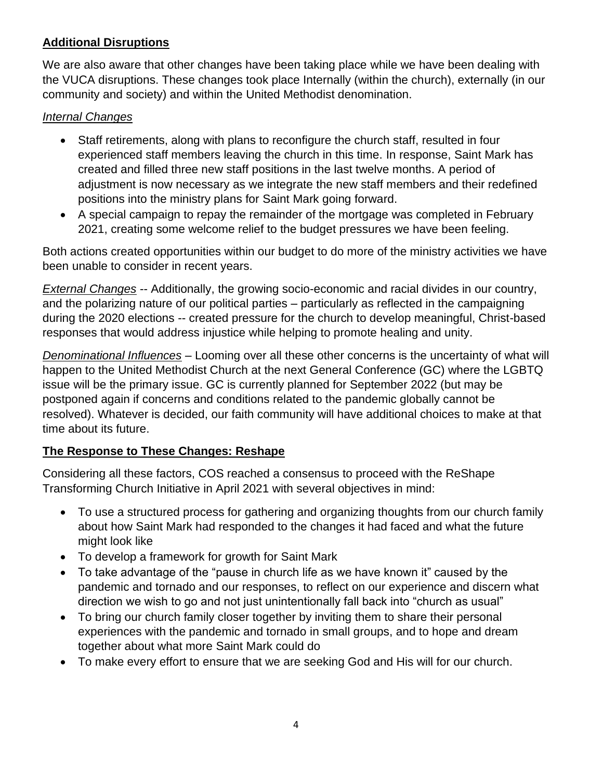## **Additional Disruptions**

We are also aware that other changes have been taking place while we have been dealing with the VUCA disruptions. These changes took place Internally (within the church), externally (in our community and society) and within the United Methodist denomination.

#### *Internal Changes*

- Staff retirements, along with plans to reconfigure the church staff, resulted in four experienced staff members leaving the church in this time. In response, Saint Mark has created and filled three new staff positions in the last twelve months. A period of adjustment is now necessary as we integrate the new staff members and their redefined positions into the ministry plans for Saint Mark going forward.
- A special campaign to repay the remainder of the mortgage was completed in February 2021, creating some welcome relief to the budget pressures we have been feeling.

Both actions created opportunities within our budget to do more of the ministry activities we have been unable to consider in recent years.

*External Changes* -- Additionally, the growing socio-economic and racial divides in our country, and the polarizing nature of our political parties – particularly as reflected in the campaigning during the 2020 elections -- created pressure for the church to develop meaningful, Christ-based responses that would address injustice while helping to promote healing and unity.

*Denominational Influences* – Looming over all these other concerns is the uncertainty of what will happen to the United Methodist Church at the next General Conference (GC) where the LGBTQ issue will be the primary issue. GC is currently planned for September 2022 (but may be postponed again if concerns and conditions related to the pandemic globally cannot be resolved). Whatever is decided, our faith community will have additional choices to make at that time about its future.

## **The Response to These Changes: Reshape**

Considering all these factors, COS reached a consensus to proceed with the ReShape Transforming Church Initiative in April 2021 with several objectives in mind:

- To use a structured process for gathering and organizing thoughts from our church family about how Saint Mark had responded to the changes it had faced and what the future might look like
- To develop a framework for growth for Saint Mark
- To take advantage of the "pause in church life as we have known it" caused by the pandemic and tornado and our responses, to reflect on our experience and discern what direction we wish to go and not just unintentionally fall back into "church as usual"
- To bring our church family closer together by inviting them to share their personal experiences with the pandemic and tornado in small groups, and to hope and dream together about what more Saint Mark could do
- To make every effort to ensure that we are seeking God and His will for our church.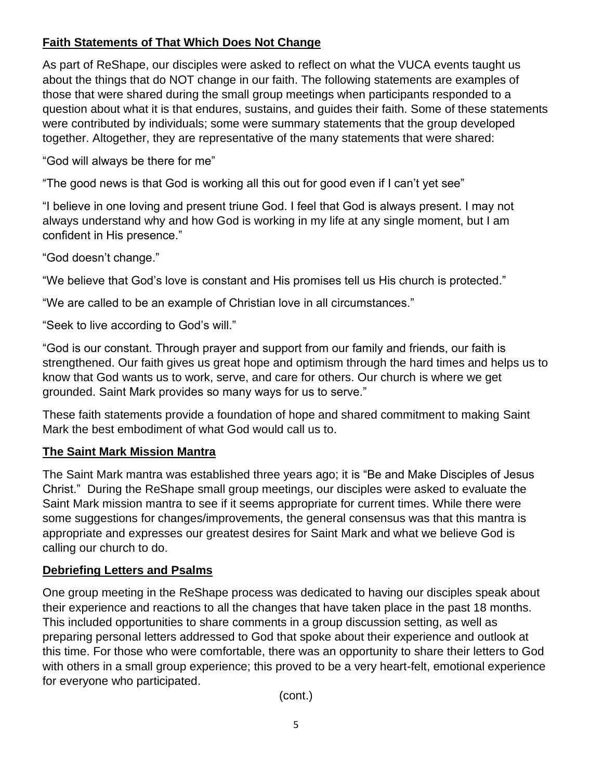## **Faith Statements of That Which Does Not Change**

As part of ReShape, our disciples were asked to reflect on what the VUCA events taught us about the things that do NOT change in our faith. The following statements are examples of those that were shared during the small group meetings when participants responded to a question about what it is that endures, sustains, and guides their faith. Some of these statements were contributed by individuals; some were summary statements that the group developed together. Altogether, they are representative of the many statements that were shared:

"God will always be there for me"

"The good news is that God is working all this out for good even if I can't yet see"

"I believe in one loving and present triune God. I feel that God is always present. I may not always understand why and how God is working in my life at any single moment, but I am confident in His presence."

"God doesn't change."

"We believe that God's love is constant and His promises tell us His church is protected."

"We are called to be an example of Christian love in all circumstances."

"Seek to live according to God's will."

"God is our constant. Through prayer and support from our family and friends, our faith is strengthened. Our faith gives us great hope and optimism through the hard times and helps us to know that God wants us to work, serve, and care for others. Our church is where we get grounded. Saint Mark provides so many ways for us to serve."

These faith statements provide a foundation of hope and shared commitment to making Saint Mark the best embodiment of what God would call us to.

## **The Saint Mark Mission Mantra**

The Saint Mark mantra was established three years ago; it is "Be and Make Disciples of Jesus Christ." During the ReShape small group meetings, our disciples were asked to evaluate the Saint Mark mission mantra to see if it seems appropriate for current times. While there were some suggestions for changes/improvements, the general consensus was that this mantra is appropriate and expresses our greatest desires for Saint Mark and what we believe God is calling our church to do.

## **Debriefing Letters and Psalms**

One group meeting in the ReShape process was dedicated to having our disciples speak about their experience and reactions to all the changes that have taken place in the past 18 months. This included opportunities to share comments in a group discussion setting, as well as preparing personal letters addressed to God that spoke about their experience and outlook at this time. For those who were comfortable, there was an opportunity to share their letters to God with others in a small group experience; this proved to be a very heart-felt, emotional experience for everyone who participated.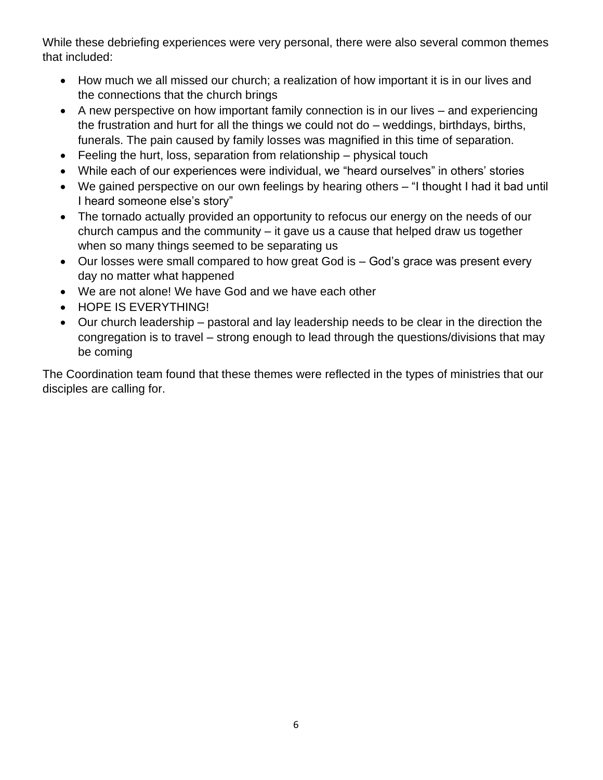While these debriefing experiences were very personal, there were also several common themes that included:

- How much we all missed our church; a realization of how important it is in our lives and the connections that the church brings
- A new perspective on how important family connection is in our lives and experiencing the frustration and hurt for all the things we could not do – weddings, birthdays, births, funerals. The pain caused by family losses was magnified in this time of separation.
- Feeling the hurt, loss, separation from relationship physical touch
- While each of our experiences were individual, we "heard ourselves" in others' stories
- We gained perspective on our own feelings by hearing others "I thought I had it bad until I heard someone else's story"
- The tornado actually provided an opportunity to refocus our energy on the needs of our church campus and the community – it gave us a cause that helped draw us together when so many things seemed to be separating us
- Our losses were small compared to how great God is God's grace was present every day no matter what happened
- We are not alone! We have God and we have each other
- HOPE IS EVERYTHING!
- Our church leadership pastoral and lay leadership needs to be clear in the direction the congregation is to travel – strong enough to lead through the questions/divisions that may be coming

The Coordination team found that these themes were reflected in the types of ministries that our disciples are calling for.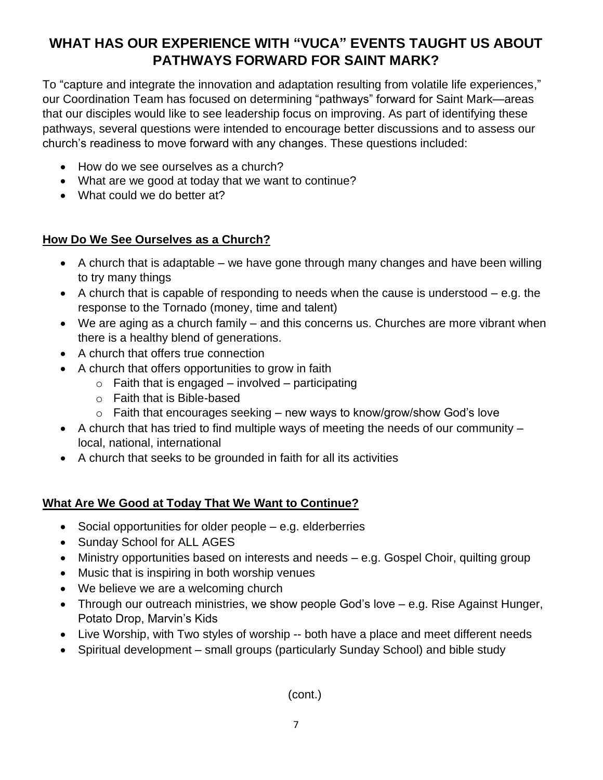## **WHAT HAS OUR EXPERIENCE WITH "VUCA" EVENTS TAUGHT US ABOUT PATHWAYS FORWARD FOR SAINT MARK?**

To "capture and integrate the innovation and adaptation resulting from volatile life experiences," our Coordination Team has focused on determining "pathways" forward for Saint Mark—areas that our disciples would like to see leadership focus on improving. As part of identifying these pathways, several questions were intended to encourage better discussions and to assess our church's readiness to move forward with any changes. These questions included:

- How do we see ourselves as a church?
- What are we good at today that we want to continue?
- What could we do better at?

## **How Do We See Ourselves as a Church?**

- A church that is adaptable we have gone through many changes and have been willing to try many things
- A church that is capable of responding to needs when the cause is understood  $-$  e.g. the response to the Tornado (money, time and talent)
- We are aging as a church family and this concerns us. Churches are more vibrant when there is a healthy blend of generations.
- A church that offers true connection
- A church that offers opportunities to grow in faith
	- $\circ$  Faith that is engaged involved participating
	- o Faith that is Bible-based
	- o Faith that encourages seeking new ways to know/grow/show God's love
- A church that has tried to find multiple ways of meeting the needs of our community local, national, international
- A church that seeks to be grounded in faith for all its activities

## **What Are We Good at Today That We Want to Continue?**

- Social opportunities for older people e.g. elderberries
- Sunday School for ALL AGES
- Ministry opportunities based on interests and needs e.g. Gospel Choir, quilting group
- Music that is inspiring in both worship venues
- We believe we are a welcoming church
- Through our outreach ministries, we show people God's love e.g. Rise Against Hunger, Potato Drop, Marvin's Kids
- Live Worship, with Two styles of worship -- both have a place and meet different needs
- Spiritual development small groups (particularly Sunday School) and bible study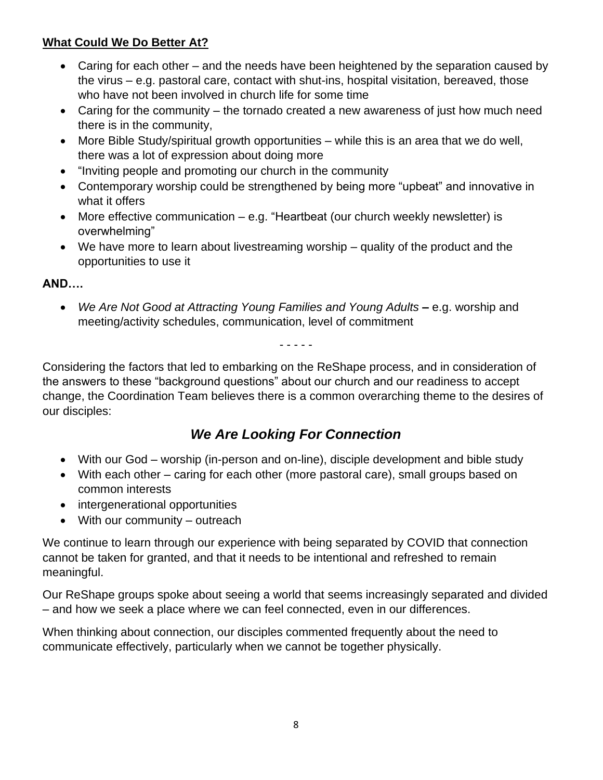## **What Could We Do Better At?**

- Caring for each other and the needs have been heightened by the separation caused by the virus – e.g. pastoral care, contact with shut-ins, hospital visitation, bereaved, those who have not been involved in church life for some time
- Caring for the community the tornado created a new awareness of just how much need there is in the community,
- More Bible Study/spiritual growth opportunities while this is an area that we do well, there was a lot of expression about doing more
- "Inviting people and promoting our church in the community
- Contemporary worship could be strengthened by being more "upbeat" and innovative in what it offers
- More effective communication e.g. "Heartbeat (our church weekly newsletter) is overwhelming"
- We have more to learn about livestreaming worship quality of the product and the opportunities to use it

## **AND….**

• *We Are Not Good at Attracting Young Families and Young Adults* **–** e.g. worship and meeting/activity schedules, communication, level of commitment

- - - - -

Considering the factors that led to embarking on the ReShape process, and in consideration of the answers to these "background questions" about our church and our readiness to accept change, the Coordination Team believes there is a common overarching theme to the desires of our disciples:

## *We Are Looking For Connection*

- With our God worship (in-person and on-line), disciple development and bible study
- With each other caring for each other (more pastoral care), small groups based on common interests
- intergenerational opportunities
- With our community outreach

We continue to learn through our experience with being separated by COVID that connection cannot be taken for granted, and that it needs to be intentional and refreshed to remain meaningful.

Our ReShape groups spoke about seeing a world that seems increasingly separated and divided – and how we seek a place where we can feel connected, even in our differences.

When thinking about connection, our disciples commented frequently about the need to communicate effectively, particularly when we cannot be together physically.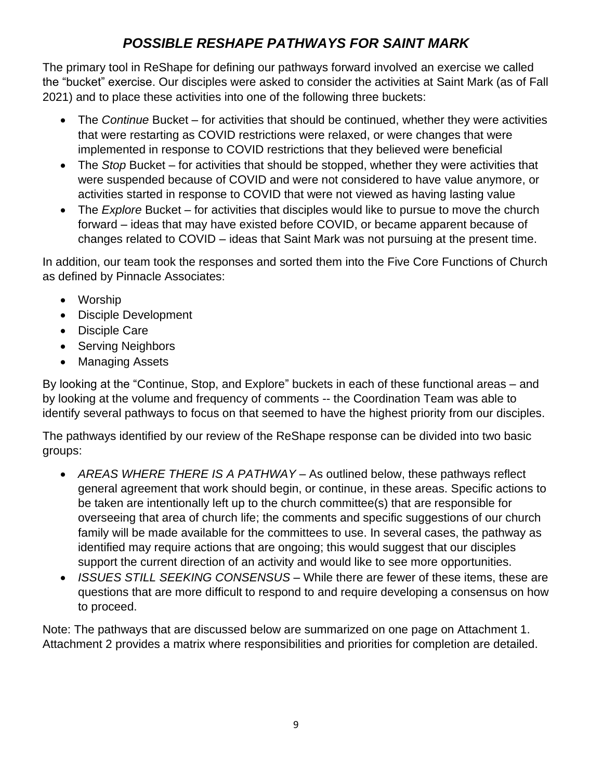## *POSSIBLE RESHAPE PATHWAYS FOR SAINT MARK*

The primary tool in ReShape for defining our pathways forward involved an exercise we called the "bucket" exercise. Our disciples were asked to consider the activities at Saint Mark (as of Fall 2021) and to place these activities into one of the following three buckets:

- The *Continue* Bucket for activities that should be continued, whether they were activities that were restarting as COVID restrictions were relaxed, or were changes that were implemented in response to COVID restrictions that they believed were beneficial
- The *Stop* Bucket for activities that should be stopped, whether they were activities that were suspended because of COVID and were not considered to have value anymore, or activities started in response to COVID that were not viewed as having lasting value
- The *Explore* Bucket for activities that disciples would like to pursue to move the church forward – ideas that may have existed before COVID, or became apparent because of changes related to COVID – ideas that Saint Mark was not pursuing at the present time.

In addition, our team took the responses and sorted them into the Five Core Functions of Church as defined by Pinnacle Associates:

- Worship
- Disciple Development
- Disciple Care
- Serving Neighbors
- Managing Assets

By looking at the "Continue, Stop, and Explore" buckets in each of these functional areas – and by looking at the volume and frequency of comments -- the Coordination Team was able to identify several pathways to focus on that seemed to have the highest priority from our disciples.

The pathways identified by our review of the ReShape response can be divided into two basic groups:

- *AREAS WHERE THERE IS A PATHWAY* As outlined below, these pathways reflect general agreement that work should begin, or continue, in these areas. Specific actions to be taken are intentionally left up to the church committee(s) that are responsible for overseeing that area of church life; the comments and specific suggestions of our church family will be made available for the committees to use. In several cases, the pathway as identified may require actions that are ongoing; this would suggest that our disciples support the current direction of an activity and would like to see more opportunities.
- *ISSUES STILL SEEKING CONSENSUS* While there are fewer of these items, these are questions that are more difficult to respond to and require developing a consensus on how to proceed.

Note: The pathways that are discussed below are summarized on one page on Attachment 1. Attachment 2 provides a matrix where responsibilities and priorities for completion are detailed.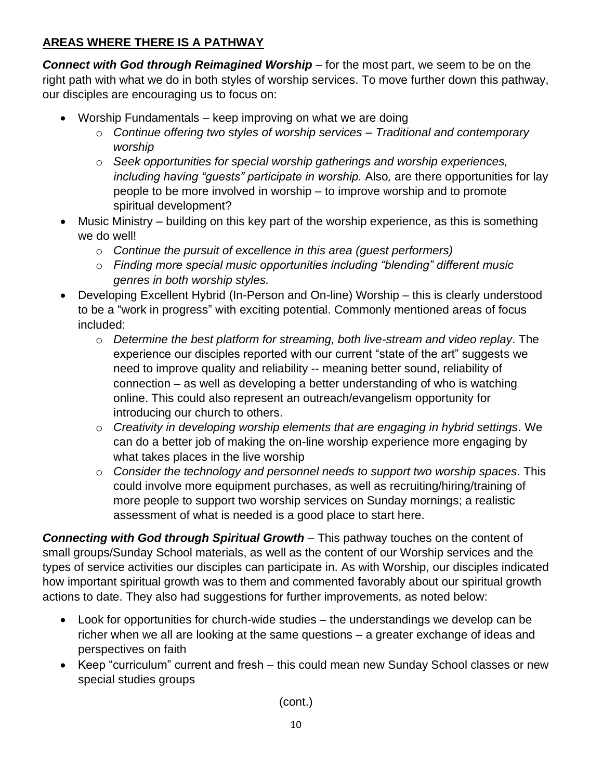## **AREAS WHERE THERE IS A PATHWAY**

*Connect with God through Reimagined Worship* – for the most part, we seem to be on the right path with what we do in both styles of worship services. To move further down this pathway, our disciples are encouraging us to focus on:

- Worship Fundamentals keep improving on what we are doing
	- o *Continue offering two styles of worship services – Traditional and contemporary worship*
	- o *Seek opportunities for special worship gatherings and worship experiences, including having "guests" participate in worship.* Also, are there opportunities for lay people to be more involved in worship – to improve worship and to promote spiritual development?
- Music Ministry building on this key part of the worship experience, as this is something we do well!
	- o *Continue the pursuit of excellence in this area (guest performers)*
	- o *Finding more special music opportunities including "blending" different music genres in both worship styles.*
- Developing Excellent Hybrid (In-Person and On-line) Worship this is clearly understood to be a "work in progress" with exciting potential. Commonly mentioned areas of focus included:
	- o *Determine the best platform for streaming, both live-stream and video replay*. The experience our disciples reported with our current "state of the art" suggests we need to improve quality and reliability -- meaning better sound, reliability of connection – as well as developing a better understanding of who is watching online. This could also represent an outreach/evangelism opportunity for introducing our church to others.
	- o *Creativity in developing worship elements that are engaging in hybrid settings*. We can do a better job of making the on-line worship experience more engaging by what takes places in the live worship
	- o *Consider the technology and personnel needs to support two worship spaces*. This could involve more equipment purchases, as well as recruiting/hiring/training of more people to support two worship services on Sunday mornings; a realistic assessment of what is needed is a good place to start here.

*Connecting with God through Spiritual Growth* – This pathway touches on the content of small groups/Sunday School materials, as well as the content of our Worship services and the types of service activities our disciples can participate in. As with Worship, our disciples indicated how important spiritual growth was to them and commented favorably about our spiritual growth actions to date. They also had suggestions for further improvements, as noted below:

- Look for opportunities for church-wide studies the understandings we develop can be richer when we all are looking at the same questions – a greater exchange of ideas and perspectives on faith
- Keep "curriculum" current and fresh this could mean new Sunday School classes or new special studies groups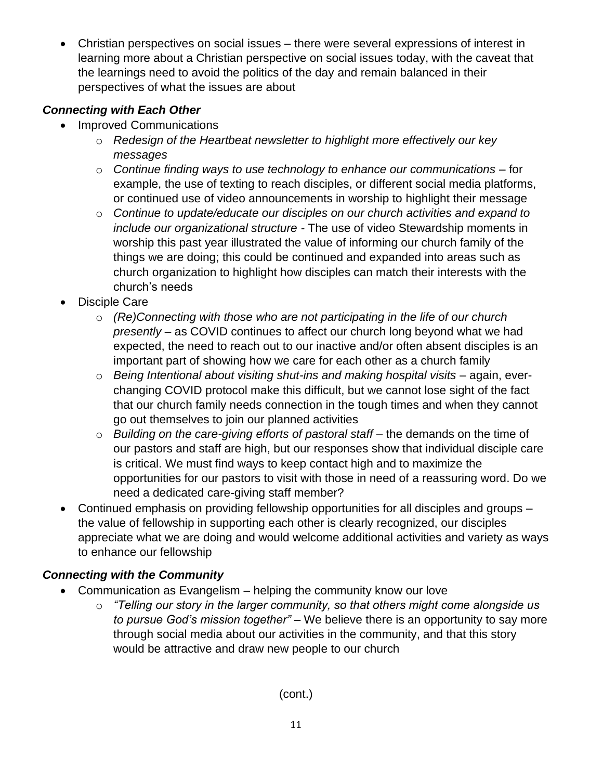• Christian perspectives on social issues – there were several expressions of interest in learning more about a Christian perspective on social issues today, with the caveat that the learnings need to avoid the politics of the day and remain balanced in their perspectives of what the issues are about

## *Connecting with Each Other*

- Improved Communications
	- o *Redesign of the Heartbeat newsletter to highlight more effectively our key messages*
	- o *Continue finding ways to use technology to enhance our communications*  for example, the use of texting to reach disciples, or different social media platforms, or continued use of video announcements in worship to highlight their message
	- o *Continue to update/educate our disciples on our church activities and expand to include our organizational structure -* The use of video Stewardship moments in worship this past year illustrated the value of informing our church family of the things we are doing; this could be continued and expanded into areas such as church organization to highlight how disciples can match their interests with the church's needs
- Disciple Care
	- o *(Re)Connecting with those who are not participating in the life of our church presently* – as COVID continues to affect our church long beyond what we had expected, the need to reach out to our inactive and/or often absent disciples is an important part of showing how we care for each other as a church family
	- o *Being Intentional about visiting shut-ins and making hospital visits* again, everchanging COVID protocol make this difficult, but we cannot lose sight of the fact that our church family needs connection in the tough times and when they cannot go out themselves to join our planned activities
	- o *Building on the care-giving efforts of pastoral staff* the demands on the time of our pastors and staff are high, but our responses show that individual disciple care is critical. We must find ways to keep contact high and to maximize the opportunities for our pastors to visit with those in need of a reassuring word. Do we need a dedicated care-giving staff member?
- Continued emphasis on providing fellowship opportunities for all disciples and groups the value of fellowship in supporting each other is clearly recognized, our disciples appreciate what we are doing and would welcome additional activities and variety as ways to enhance our fellowship

## *Connecting with the Community*

- Communication as Evangelism helping the community know our love
	- o *"Telling our story in the larger community, so that others might come alongside us to pursue God's mission together"* – We believe there is an opportunity to say more through social media about our activities in the community, and that this story would be attractive and draw new people to our church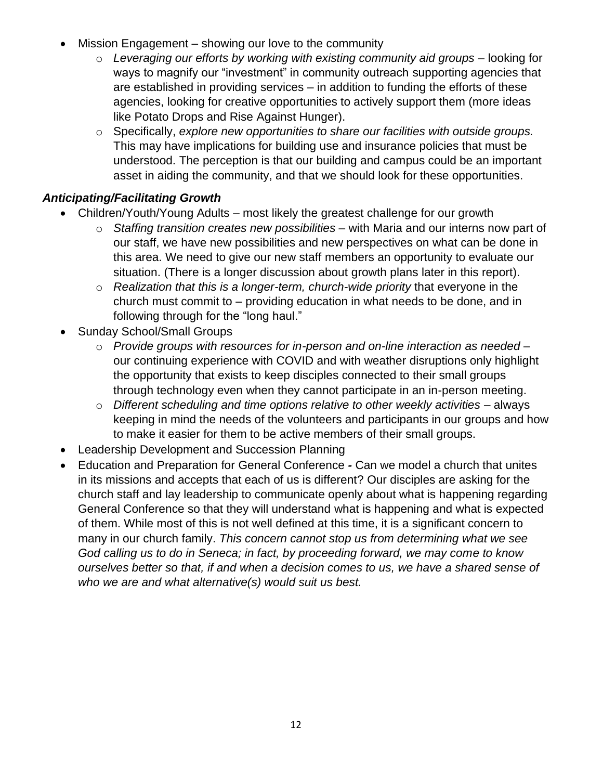- Mission Engagement showing our love to the community
	- o *Leveraging our efforts by working with existing community aid groups* looking for ways to magnify our "investment" in community outreach supporting agencies that are established in providing services – in addition to funding the efforts of these agencies, looking for creative opportunities to actively support them (more ideas like Potato Drops and Rise Against Hunger).
	- o Specifically, *explore new opportunities to share our facilities with outside groups.* This may have implications for building use and insurance policies that must be understood. The perception is that our building and campus could be an important asset in aiding the community, and that we should look for these opportunities.

#### *Anticipating/Facilitating Growth*

- Children/Youth/Young Adults most likely the greatest challenge for our growth
	- o *Staffing transition creates new possibilities* with Maria and our interns now part of our staff, we have new possibilities and new perspectives on what can be done in this area. We need to give our new staff members an opportunity to evaluate our situation. (There is a longer discussion about growth plans later in this report).
	- o *Realization that this is a longer-term, church-wide priority* that everyone in the church must commit to – providing education in what needs to be done, and in following through for the "long haul."
- Sunday School/Small Groups
	- o *Provide groups with resources for in-person and on-line interaction as needed* our continuing experience with COVID and with weather disruptions only highlight the opportunity that exists to keep disciples connected to their small groups through technology even when they cannot participate in an in-person meeting.
	- o *Different scheduling and time options relative to other weekly activities*  always keeping in mind the needs of the volunteers and participants in our groups and how to make it easier for them to be active members of their small groups.
- Leadership Development and Succession Planning
- Education and Preparation for General Conference *-* Can we model a church that unites in its missions and accepts that each of us is different? Our disciples are asking for the church staff and lay leadership to communicate openly about what is happening regarding General Conference so that they will understand what is happening and what is expected of them. While most of this is not well defined at this time, it is a significant concern to many in our church family. *This concern cannot stop us from determining what we see God calling us to do in Seneca; in fact, by proceeding forward, we may come to know ourselves better so that, if and when a decision comes to us, we have a shared sense of who we are and what alternative(s) would suit us best.*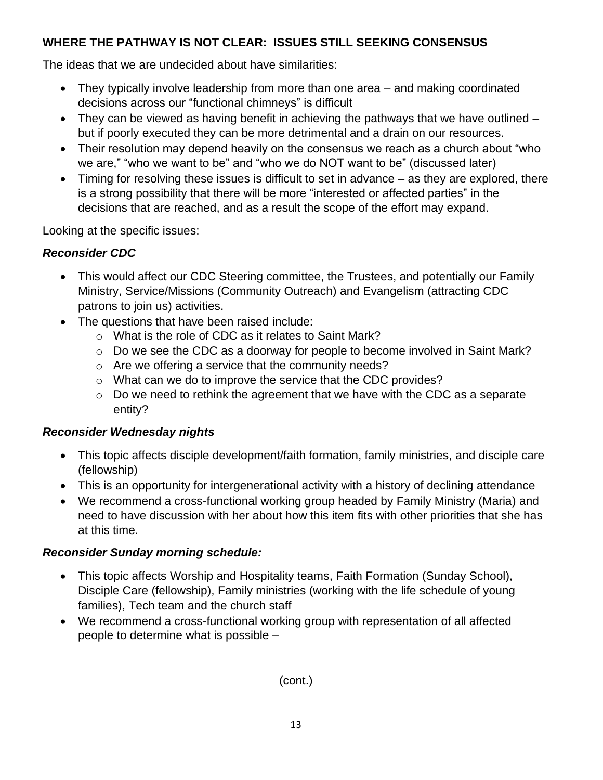## **WHERE THE PATHWAY IS NOT CLEAR: ISSUES STILL SEEKING CONSENSUS**

The ideas that we are undecided about have similarities:

- They typically involve leadership from more than one area and making coordinated decisions across our "functional chimneys" is difficult
- They can be viewed as having benefit in achieving the pathways that we have outlined but if poorly executed they can be more detrimental and a drain on our resources.
- Their resolution may depend heavily on the consensus we reach as a church about "who we are," "who we want to be" and "who we do NOT want to be" (discussed later)
- Timing for resolving these issues is difficult to set in advance as they are explored, there is a strong possibility that there will be more "interested or affected parties" in the decisions that are reached, and as a result the scope of the effort may expand.

Looking at the specific issues:

## *Reconsider CDC*

- This would affect our CDC Steering committee, the Trustees, and potentially our Family Ministry, Service/Missions (Community Outreach) and Evangelism (attracting CDC patrons to join us) activities.
- The questions that have been raised include:
	- o What is the role of CDC as it relates to Saint Mark?
	- $\circ$  Do we see the CDC as a doorway for people to become involved in Saint Mark?
	- o Are we offering a service that the community needs?
	- o What can we do to improve the service that the CDC provides?
	- o Do we need to rethink the agreement that we have with the CDC as a separate entity?

## *Reconsider Wednesday nights*

- This topic affects disciple development/faith formation, family ministries, and disciple care (fellowship)
- This is an opportunity for intergenerational activity with a history of declining attendance
- We recommend a cross-functional working group headed by Family Ministry (Maria) and need to have discussion with her about how this item fits with other priorities that she has at this time.

## *Reconsider Sunday morning schedule:*

- This topic affects Worship and Hospitality teams, Faith Formation (Sunday School), Disciple Care (fellowship), Family ministries (working with the life schedule of young families), Tech team and the church staff
- We recommend a cross-functional working group with representation of all affected people to determine what is possible –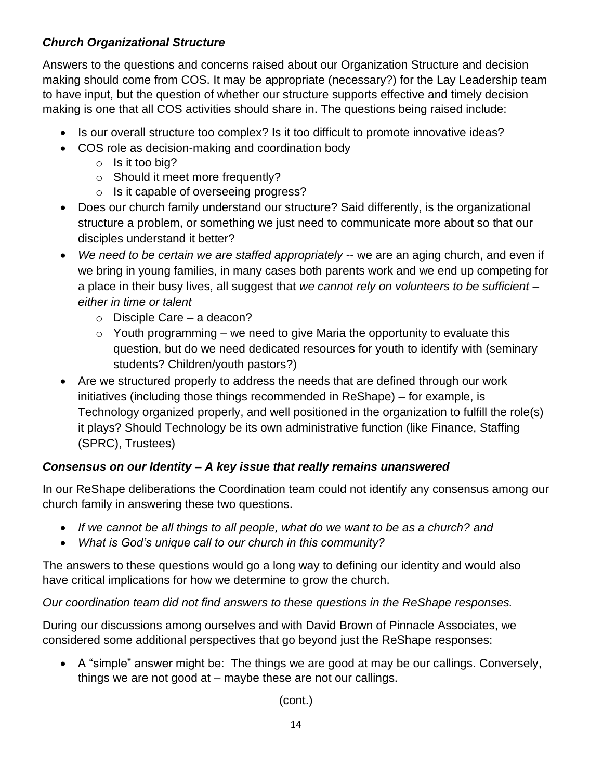## *Church Organizational Structure*

Answers to the questions and concerns raised about our Organization Structure and decision making should come from COS. It may be appropriate (necessary?) for the Lay Leadership team to have input, but the question of whether our structure supports effective and timely decision making is one that all COS activities should share in. The questions being raised include:

- Is our overall structure too complex? Is it too difficult to promote innovative ideas?
- COS role as decision-making and coordination body
	- o Is it too big?
	- o Should it meet more frequently?
	- o Is it capable of overseeing progress?
- Does our church family understand our structure? Said differently, is the organizational structure a problem, or something we just need to communicate more about so that our disciples understand it better?
- *We need to be certain we are staffed appropriately* -- we are an aging church, and even if we bring in young families, in many cases both parents work and we end up competing for a place in their busy lives, all suggest that *we cannot rely on volunteers to be sufficient – either in time or talent* 
	- o Disciple Care a deacon?
	- $\circ$  Youth programming we need to give Maria the opportunity to evaluate this question, but do we need dedicated resources for youth to identify with (seminary students? Children/youth pastors?)
- Are we structured properly to address the needs that are defined through our work initiatives (including those things recommended in ReShape) – for example, is Technology organized properly, and well positioned in the organization to fulfill the role(s) it plays? Should Technology be its own administrative function (like Finance, Staffing (SPRC), Trustees)

## *Consensus on our Identity – A key issue that really remains unanswered*

In our ReShape deliberations the Coordination team could not identify any consensus among our church family in answering these two questions.

- *If we cannot be all things to all people, what do we want to be as a church? and*
- *What is God's unique call to our church in this community?*

The answers to these questions would go a long way to defining our identity and would also have critical implications for how we determine to grow the church.

*Our coordination team did not find answers to these questions in the ReShape responses.* 

During our discussions among ourselves and with David Brown of Pinnacle Associates, we considered some additional perspectives that go beyond just the ReShape responses:

• A "simple" answer might be: The things we are good at may be our callings. Conversely, things we are not good at – maybe these are not our callings.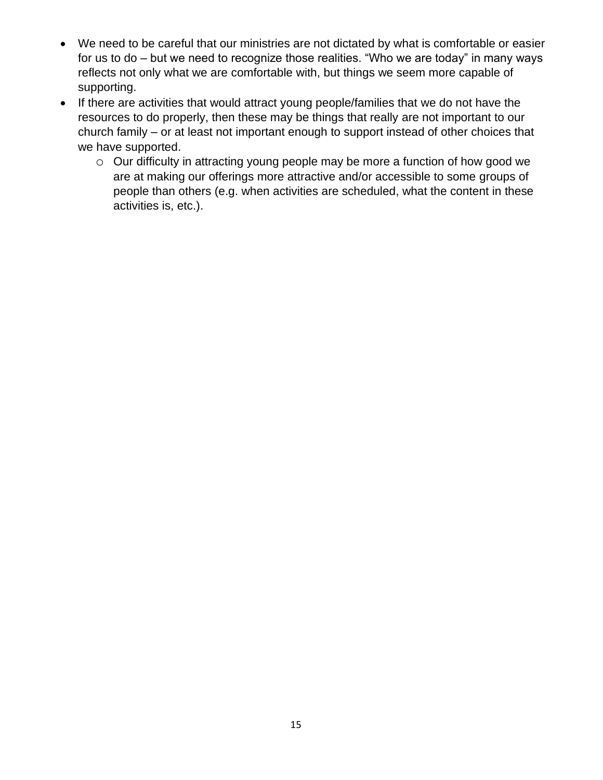- We need to be careful that our ministries are not dictated by what is comfortable or easier for us to do – but we need to recognize those realities. "Who we are today" in many ways reflects not only what we are comfortable with, but things we seem more capable of supporting.
- If there are activities that would attract young people/families that we do not have the resources to do properly, then these may be things that really are not important to our church family – or at least not important enough to support instead of other choices that we have supported.
	- o Our difficulty in attracting young people may be more a function of how good we are at making our offerings more attractive and/or accessible to some groups of people than others (e.g. when activities are scheduled, what the content in these activities is, etc.).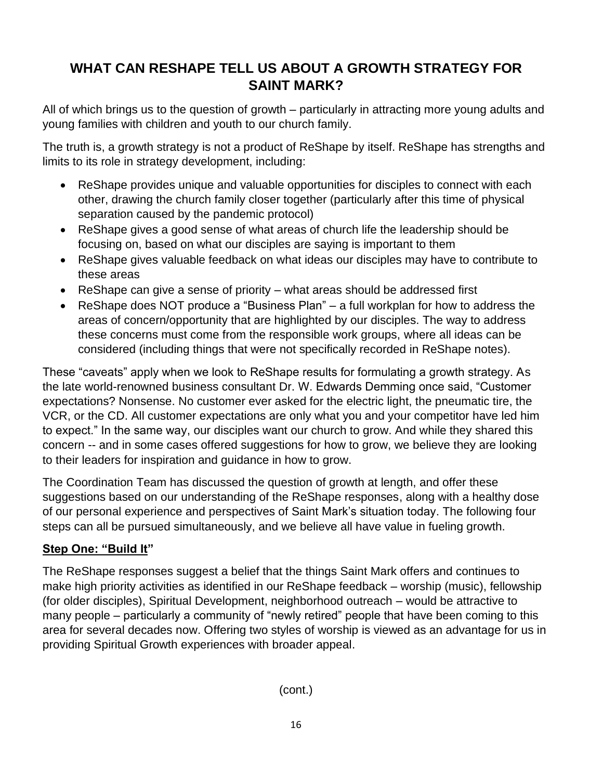## **WHAT CAN RESHAPE TELL US ABOUT A GROWTH STRATEGY FOR SAINT MARK?**

All of which brings us to the question of growth – particularly in attracting more young adults and young families with children and youth to our church family.

The truth is, a growth strategy is not a product of ReShape by itself. ReShape has strengths and limits to its role in strategy development, including:

- ReShape provides unique and valuable opportunities for disciples to connect with each other, drawing the church family closer together (particularly after this time of physical separation caused by the pandemic protocol)
- ReShape gives a good sense of what areas of church life the leadership should be focusing on, based on what our disciples are saying is important to them
- ReShape gives valuable feedback on what ideas our disciples may have to contribute to these areas
- ReShape can give a sense of priority what areas should be addressed first
- ReShape does NOT produce a "Business Plan" a full workplan for how to address the areas of concern/opportunity that are highlighted by our disciples. The way to address these concerns must come from the responsible work groups, where all ideas can be considered (including things that were not specifically recorded in ReShape notes).

These "caveats" apply when we look to ReShape results for formulating a growth strategy. As the late world-renowned business consultant Dr. W. Edwards Demming once said, "Customer expectations? Nonsense. No customer ever asked for the electric light, the pneumatic tire, the VCR, or the CD. All customer expectations are only what you and your competitor have led him to expect." In the same way, our disciples want our church to grow. And while they shared this concern -- and in some cases offered suggestions for how to grow, we believe they are looking to their leaders for inspiration and guidance in how to grow.

The Coordination Team has discussed the question of growth at length, and offer these suggestions based on our understanding of the ReShape responses, along with a healthy dose of our personal experience and perspectives of Saint Mark's situation today. The following four steps can all be pursued simultaneously, and we believe all have value in fueling growth.

## **Step One: "Build It"**

The ReShape responses suggest a belief that the things Saint Mark offers and continues to make high priority activities as identified in our ReShape feedback – worship (music), fellowship (for older disciples), Spiritual Development, neighborhood outreach – would be attractive to many people – particularly a community of "newly retired" people that have been coming to this area for several decades now. Offering two styles of worship is viewed as an advantage for us in providing Spiritual Growth experiences with broader appeal.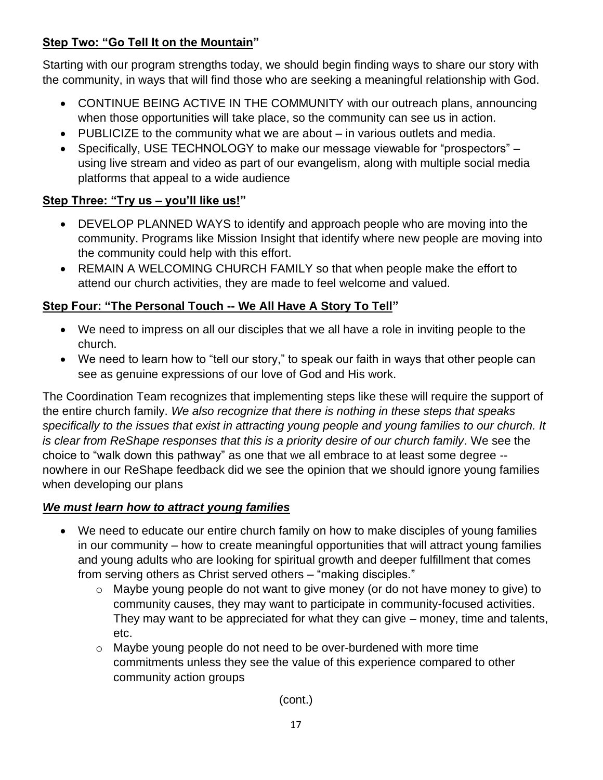## **Step Two: "Go Tell It on the Mountain"**

Starting with our program strengths today, we should begin finding ways to share our story with the community, in ways that will find those who are seeking a meaningful relationship with God.

- CONTINUE BEING ACTIVE IN THE COMMUNITY with our outreach plans, announcing when those opportunities will take place, so the community can see us in action.
- PUBLICIZE to the community what we are about in various outlets and media.
- Specifically, USE TECHNOLOGY to make our message viewable for "prospectors" using live stream and video as part of our evangelism, along with multiple social media platforms that appeal to a wide audience

## **Step Three: "Try us – you'll like us!"**

- DEVELOP PLANNED WAYS to identify and approach people who are moving into the community. Programs like Mission Insight that identify where new people are moving into the community could help with this effort.
- REMAIN A WELCOMING CHURCH FAMILY so that when people make the effort to attend our church activities, they are made to feel welcome and valued.

## **Step Four: "The Personal Touch -- We All Have A Story To Tell"**

- We need to impress on all our disciples that we all have a role in inviting people to the church.
- We need to learn how to "tell our story," to speak our faith in ways that other people can see as genuine expressions of our love of God and His work.

The Coordination Team recognizes that implementing steps like these will require the support of the entire church family. *We also recognize that there is nothing in these steps that speaks specifically to the issues that exist in attracting young people and young families to our church. It is clear from ReShape responses that this is a priority desire of our church family*. We see the choice to "walk down this pathway" as one that we all embrace to at least some degree - nowhere in our ReShape feedback did we see the opinion that we should ignore young families when developing our plans

## *We must learn how to attract young families*

- We need to educate our entire church family on how to make disciples of young families in our community – how to create meaningful opportunities that will attract young families and young adults who are looking for spiritual growth and deeper fulfillment that comes from serving others as Christ served others – "making disciples."
	- o Maybe young people do not want to give money (or do not have money to give) to community causes, they may want to participate in community-focused activities. They may want to be appreciated for what they can give – money, time and talents, etc.
	- o Maybe young people do not need to be over-burdened with more time commitments unless they see the value of this experience compared to other community action groups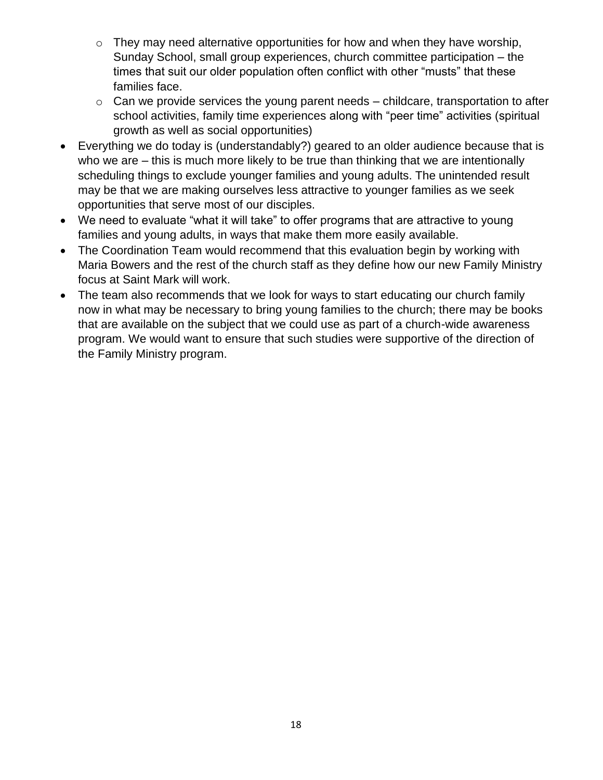- $\circ$  They may need alternative opportunities for how and when they have worship, Sunday School, small group experiences, church committee participation – the times that suit our older population often conflict with other "musts" that these families face.
- $\circ$  Can we provide services the young parent needs childcare, transportation to after school activities, family time experiences along with "peer time" activities (spiritual growth as well as social opportunities)
- Everything we do today is (understandably?) geared to an older audience because that is who we are – this is much more likely to be true than thinking that we are intentionally scheduling things to exclude younger families and young adults. The unintended result may be that we are making ourselves less attractive to younger families as we seek opportunities that serve most of our disciples.
- We need to evaluate "what it will take" to offer programs that are attractive to young families and young adults, in ways that make them more easily available.
- The Coordination Team would recommend that this evaluation begin by working with Maria Bowers and the rest of the church staff as they define how our new Family Ministry focus at Saint Mark will work.
- The team also recommends that we look for ways to start educating our church family now in what may be necessary to bring young families to the church; there may be books that are available on the subject that we could use as part of a church-wide awareness program. We would want to ensure that such studies were supportive of the direction of the Family Ministry program.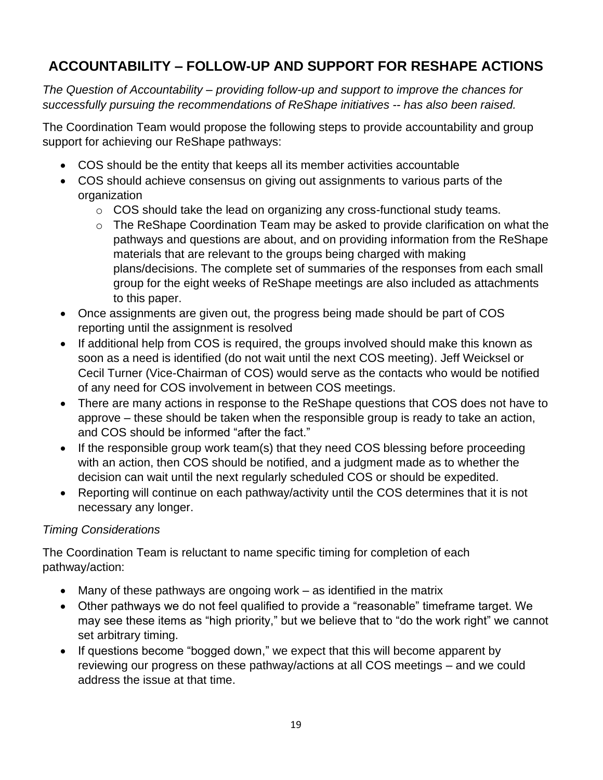## **ACCOUNTABILITY – FOLLOW-UP AND SUPPORT FOR RESHAPE ACTIONS**

*The Question of Accountability – providing follow-up and support to improve the chances for successfully pursuing the recommendations of ReShape initiatives -- has also been raised.* 

The Coordination Team would propose the following steps to provide accountability and group support for achieving our ReShape pathways:

- COS should be the entity that keeps all its member activities accountable
- COS should achieve consensus on giving out assignments to various parts of the organization
	- o COS should take the lead on organizing any cross-functional study teams.
	- o The ReShape Coordination Team may be asked to provide clarification on what the pathways and questions are about, and on providing information from the ReShape materials that are relevant to the groups being charged with making plans/decisions. The complete set of summaries of the responses from each small group for the eight weeks of ReShape meetings are also included as attachments to this paper.
- Once assignments are given out, the progress being made should be part of COS reporting until the assignment is resolved
- If additional help from COS is required, the groups involved should make this known as soon as a need is identified (do not wait until the next COS meeting). Jeff Weicksel or Cecil Turner (Vice-Chairman of COS) would serve as the contacts who would be notified of any need for COS involvement in between COS meetings.
- There are many actions in response to the ReShape questions that COS does not have to approve – these should be taken when the responsible group is ready to take an action, and COS should be informed "after the fact."
- If the responsible group work team(s) that they need COS blessing before proceeding with an action, then COS should be notified, and a judgment made as to whether the decision can wait until the next regularly scheduled COS or should be expedited.
- Reporting will continue on each pathway/activity until the COS determines that it is not necessary any longer.

## *Timing Considerations*

The Coordination Team is reluctant to name specific timing for completion of each pathway/action:

- Many of these pathways are ongoing work as identified in the matrix
- Other pathways we do not feel qualified to provide a "reasonable" timeframe target. We may see these items as "high priority," but we believe that to "do the work right" we cannot set arbitrary timing.
- If questions become "bogged down," we expect that this will become apparent by reviewing our progress on these pathway/actions at all COS meetings – and we could address the issue at that time.